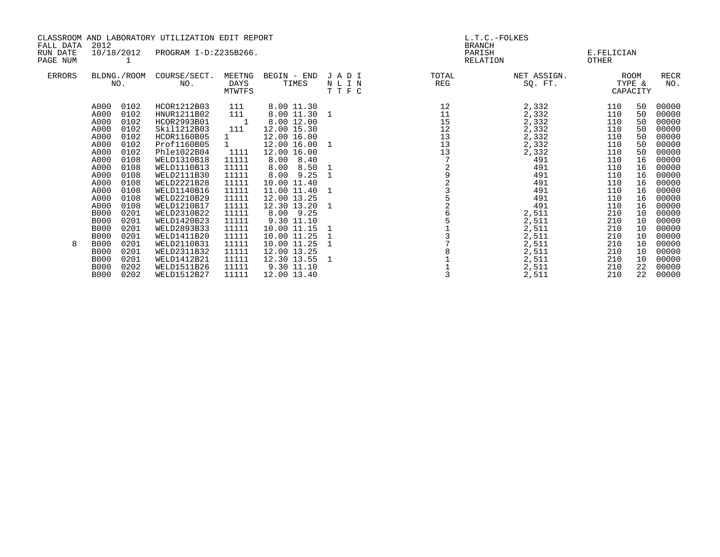| FALL DATA            | CLASSROOM AND LABORATORY UTILIZATION EDIT REPORT<br>2012                                                                                                  |                                                                                                                                      |                                                                                                                                                                                                                                                             |                                                                                                                                                                           |                                                                                                                                                                                                                                                           | L.T.C.-FOLKES<br><b>BRANCH</b>        |                                        |                                                                                                                                         |                                                                                                                     |                                                                                                    |                                                                                                                                                       |  |
|----------------------|-----------------------------------------------------------------------------------------------------------------------------------------------------------|--------------------------------------------------------------------------------------------------------------------------------------|-------------------------------------------------------------------------------------------------------------------------------------------------------------------------------------------------------------------------------------------------------------|---------------------------------------------------------------------------------------------------------------------------------------------------------------------------|-----------------------------------------------------------------------------------------------------------------------------------------------------------------------------------------------------------------------------------------------------------|---------------------------------------|----------------------------------------|-----------------------------------------------------------------------------------------------------------------------------------------|---------------------------------------------------------------------------------------------------------------------|----------------------------------------------------------------------------------------------------|-------------------------------------------------------------------------------------------------------------------------------------------------------|--|
| RUN DATE<br>PAGE NUM | 10/18/2012                                                                                                                                                |                                                                                                                                      | PROGRAM I-D:Z235B266.                                                                                                                                                                                                                                       |                                                                                                                                                                           |                                                                                                                                                                                                                                                           |                                       |                                        | PARISH<br>RELATION                                                                                                                      |                                                                                                                     | E.FELICIAN<br>OTHER                                                                                |                                                                                                                                                       |  |
| ERRORS               |                                                                                                                                                           | NO.                                                                                                                                  | BLDNG./ROOM COURSE/SECT.<br>NO.                                                                                                                                                                                                                             | MEETNG<br><b>DAYS</b><br>MTWTFS                                                                                                                                           | BEGIN - END<br>TIMES                                                                                                                                                                                                                                      | JADI<br>NLIN<br>TTFC                  | TOTAL<br>REG                           | NET ASSIGN.<br>SO. FT.                                                                                                                  |                                                                                                                     | ROOM<br>TYPE &<br>CAPACITY                                                                         | <b>RECR</b><br>NO.                                                                                                                                    |  |
|                      | A000<br>A000<br>A000<br>A000<br>A000<br>A000<br>A000<br>A000<br>A000<br>A000<br>A000<br>A000<br>A000<br>A000<br><b>B000</b><br><b>B000</b><br><b>B000</b> | 0102<br>0102<br>0102<br>0102<br>0102<br>0102<br>0102<br>0108<br>0108<br>0108<br>0108<br>0108<br>0108<br>0108<br>0201<br>0201<br>0201 | HCOR1212B03<br>HNUR1211B02<br>HCOR2993B01<br>Skil1212B03<br>HCOR1160B05<br>Prof1160B05<br>Phle1022B04<br>WELD1310B18<br>WELD1110B13<br>WELD2111B30<br>WELD2221B28<br>WELD1140B16<br>WELD2210B29<br>WELD1210B17<br>WELD2310B22<br>WELD1420B23<br>WELD2893B33 | 111<br>111<br>$\sim$ 1<br>111<br>$\mathbf{1}$<br>$1 \quad \blacksquare$<br>1111<br>11111<br>11111<br>11111<br>11111<br>11111<br>11111<br>11111<br>11111<br>11111<br>11111 | 8.00 11.30<br>8.00 11.30 1<br>8.00 12.00<br>12.00 15.30<br>12.00 16.00<br>12.00 16.00<br>12.00 16.00<br>$8.00 \quad 8.40$<br>8.00 8.50<br>8.00 9.25<br>10.00 11.40<br>11.00 11.40<br>12.00 13.25<br>12.30 13.20<br>8.00 9.25<br>9.30 11.10<br>10.00 11.15 | 1<br>1<br>$\mathbf{1}$<br>1<br>1<br>1 | 12<br>11<br>15<br>12<br>13<br>13<br>13 | 2,332<br>2,332<br>2,332<br>2,332<br>2,332<br>2,332<br>2,332<br>491<br>491<br>491<br>491<br>491<br>491<br>491<br>2,511<br>2,511<br>2,511 | 110<br>110<br>110<br>110<br>110<br>110<br>110<br>110<br>110<br>110<br>110<br>110<br>110<br>110<br>210<br>210<br>210 | 50<br>50<br>50<br>50<br>50<br>50<br>50<br>16<br>16<br>16<br>16<br>16<br>16<br>16<br>10<br>10<br>10 | 00000<br>00000<br>00000<br>00000<br>00000<br>00000<br>00000<br>00000<br>00000<br>00000<br>00000<br>00000<br>00000<br>00000<br>00000<br>00000<br>00000 |  |
| 8                    | <b>B000</b><br><b>B000</b><br><b>B000</b><br><b>B000</b><br><b>B000</b><br><b>B000</b>                                                                    | 0201<br>0201<br>0201<br>0201<br>0202<br>0202                                                                                         | WELD1411B20<br>WELD2110B31<br>WELD2311B32<br>WELD1412B21<br>WELD1511B26<br>WELD1512B27                                                                                                                                                                      | 11111<br>11111<br>11111<br>11111<br>11111<br>11111                                                                                                                        | 10.00 11.25<br>10.00 11.25<br>12.00 13.25<br>12.30 13.55<br>9.30 11.10<br>12.00 13.40                                                                                                                                                                     | $\mathbf{1}$<br>1                     |                                        | 2,511<br>2,511<br>2,511<br>2,511<br>2,511<br>2,511                                                                                      | 210<br>210<br>210<br>210<br>210<br>210                                                                              | 10<br>10<br>10<br>10<br>22<br>22                                                                   | 00000<br>00000<br>00000<br>00000<br>00000<br>00000                                                                                                    |  |
|                      |                                                                                                                                                           |                                                                                                                                      |                                                                                                                                                                                                                                                             |                                                                                                                                                                           |                                                                                                                                                                                                                                                           |                                       |                                        |                                                                                                                                         |                                                                                                                     |                                                                                                    |                                                                                                                                                       |  |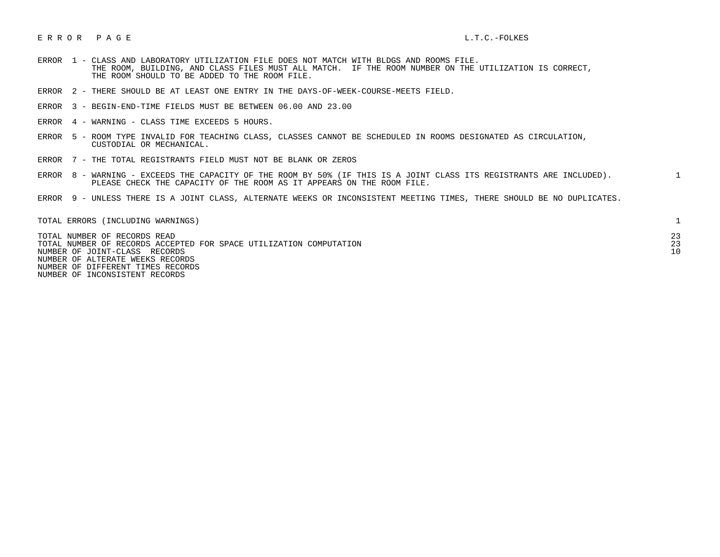## E R R O R P A G E L.T.C.-FOLKES

- ERROR 1 CLASS AND LABORATORY UTILIZATION FILE DOES NOT MATCH WITH BLDGS AND ROOMS FILE. THE ROOM, BUILDING, AND CLASS FILES MUST ALL MATCH. IF THE ROOM NUMBER ON THE UTILIZATION IS CORRECT, THE ROOM SHOULD TO BE ADDED TO THE ROOM FILE.
- ERROR 2 THERE SHOULD BE AT LEAST ONE ENTRY IN THE DAYS-OF-WEEK-COURSE-MEETS FIELD.
- ERROR 3 BEGIN-END-TIME FIELDS MUST BE BETWEEN 06.00 AND 23.00
- ERROR 4 WARNING CLASS TIME EXCEEDS 5 HOURS.
- ERROR 5 ROOM TYPE INVALID FOR TEACHING CLASS, CLASSES CANNOT BE SCHEDULED IN ROOMS DESIGNATED AS CIRCULATION, CUSTODIAL OR MECHANICAL.
- ERROR 7 THE TOTAL REGISTRANTS FIELD MUST NOT BE BLANK OR ZEROS
- ERROR 8 WARNING EXCEEDS THE CAPACITY OF THE ROOM BY 50% (IF THIS IS A JOINT CLASS ITS REGISTRANTS ARE INCLUDED). 1 PLEASE CHECK THE CAPACITY OF THE ROOM AS IT APPEARS ON THE ROOM FILE.
- ERROR 9 UNLESS THERE IS A JOINT CLASS, ALTERNATE WEEKS OR INCONSISTENT MEETING TIMES, THERE SHOULD BE NO DUPLICATES.

| TOTAL ERRORS (INCLUDING WARNINGS)                                                                   |    |
|-----------------------------------------------------------------------------------------------------|----|
| TOTAL NUMBER OF RECORDS READ                                                                        | 23 |
| TOTAL NUMBER OF RECORDS ACCEPTED FOR SPACE UTILIZATION COMPUTATION<br>NUMBER OF JOINT-CLASS RECORDS |    |
| NUMBER OF ALTERATE WEEKS RECORDS                                                                    |    |
| NUMBER OF DIFFERENT TIMES RECORDS                                                                   |    |

NUMBER OF INCONSISTENT RECORDS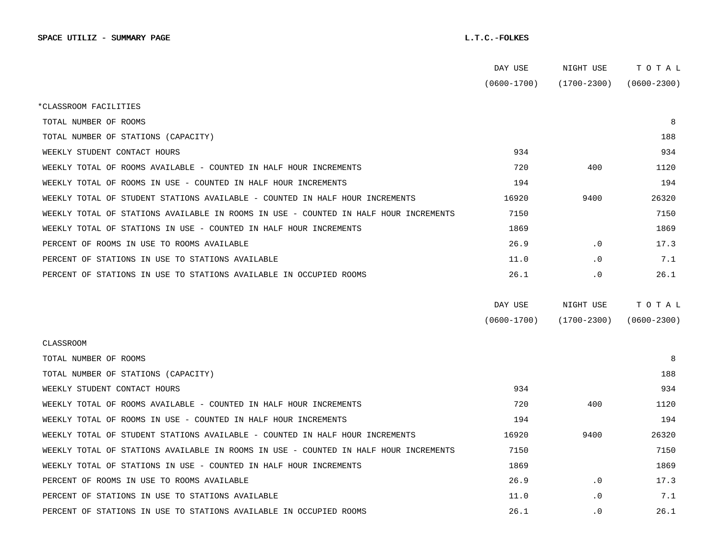|                                                                                      | DAY USE         | NIGHT USE       | TOTAL           |  |
|--------------------------------------------------------------------------------------|-----------------|-----------------|-----------------|--|
|                                                                                      | $(0600 - 1700)$ | $(1700 - 2300)$ | $(0600 - 2300)$ |  |
| *CLASSROOM FACILITIES                                                                |                 |                 |                 |  |
| TOTAL NUMBER OF ROOMS                                                                |                 |                 | 8               |  |
| TOTAL NUMBER OF STATIONS (CAPACITY)                                                  |                 |                 | 188             |  |
| WEEKLY STUDENT CONTACT HOURS                                                         | 934             |                 | 934             |  |
| WEEKLY TOTAL OF ROOMS AVAILABLE - COUNTED IN HALF HOUR INCREMENTS                    | 720             | 400             | 1120            |  |
| WEEKLY TOTAL OF ROOMS IN USE - COUNTED IN HALF HOUR INCREMENTS                       | 194             |                 | 194             |  |
| WEEKLY TOTAL OF STUDENT STATIONS AVAILABLE - COUNTED IN HALF HOUR INCREMENTS         | 16920           | 9400            | 26320           |  |
| WEEKLY TOTAL OF STATIONS AVAILABLE IN ROOMS IN USE - COUNTED IN HALF HOUR INCREMENTS | 7150            |                 | 7150            |  |
| WEEKLY TOTAL OF STATIONS IN USE - COUNTED IN HALF HOUR INCREMENTS                    | 1869            |                 | 1869            |  |
| PERCENT OF ROOMS IN USE TO ROOMS AVAILABLE                                           | 26.9            | $\cdot$ 0       | 17.3            |  |
| PERCENT OF STATIONS IN USE TO STATIONS AVAILABLE                                     | 11.0            | $\cdot$ 0       | 7.1             |  |
| PERCENT OF STATIONS IN USE TO STATIONS AVAILABLE IN OCCUPIED ROOMS                   | 26.1            | $\cdot$ 0       | 26.1            |  |
|                                                                                      |                 |                 |                 |  |
|                                                                                      | DAY USE         | NIGHT USE       | TOTAL           |  |
|                                                                                      | $(0600 - 1700)$ | $(1700 - 2300)$ | $(0600 - 2300)$ |  |
| <b>CLASSROOM</b>                                                                     |                 |                 |                 |  |
| TOTAL NUMBER OF ROOMS                                                                |                 |                 | 8               |  |
| TOTAL NUMBER OF STATIONS (CAPACITY)                                                  |                 |                 | 188             |  |
| WEEKLY STUDENT CONTACT HOURS                                                         | 934             |                 | 934             |  |
| WEEKLY TOTAL OF ROOMS AVAILABLE - COUNTED IN HALF HOUR INCREMENTS                    | 720             | 400             | 1120            |  |
| WEEKLY TOTAL OF ROOMS IN USE - COUNTED IN HALF HOUR INCREMENTS                       | 194             |                 | 194             |  |
| WEEKLY TOTAL OF STUDENT STATIONS AVAILABLE - COUNTED IN HALF HOUR INCREMENTS         | 16920           | 9400            | 26320           |  |
| WEEKLY TOTAL OF STATIONS AVAILABLE IN ROOMS IN USE - COUNTED IN HALF HOUR INCREMENTS | 7150            |                 | 7150            |  |
| WEEKLY TOTAL OF STATIONS IN USE - COUNTED IN HALF HOUR INCREMENTS                    | 1869            |                 | 1869            |  |
| PERCENT OF ROOMS IN USE TO ROOMS AVAILABLE                                           | 26.9            | $\cdot$ 0       | 17.3            |  |
| PERCENT OF STATIONS IN USE TO STATIONS AVAILABLE                                     | 11.0            | $\cdot$ 0       | 7.1             |  |
| PERCENT OF STATIONS IN USE TO STATIONS AVAILABLE IN OCCUPIED ROOMS                   | 26.1            | $\cdot$ 0       | 26.1            |  |